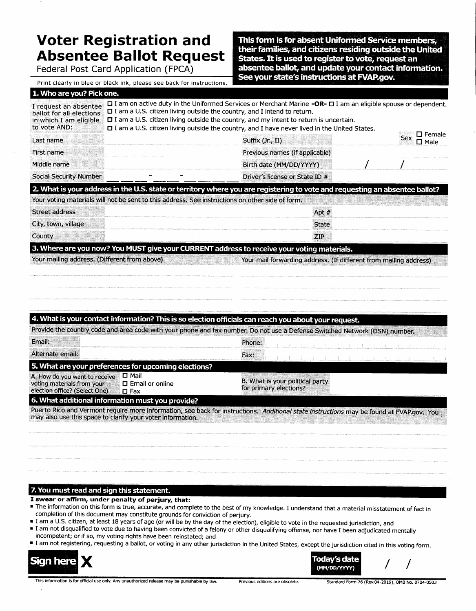# **Voter Registration and Absentee Ballot Request**

Federal Post Card Application (FPCA)

This form is for absent Uniformed Service members, their families, and citizens residing outside the United States. It is used to register to vote, request an absentee ballot, and update your contact information. See your state's instructions at FVAP.gov.

Print clearly in blue or black ink, please see back for instructions.

#### 1. Who are you? Pick one.

| I request an absentee<br>ballot for all elections<br>in which I am eligible | $\Box$ I am on active duty in the Uniformed Services or Merchant Marine -OR- $\Box$ I am an eligible spouse or dependent.<br>$\square$ I am a U.S. citizen living outside the country, and I intend to return.<br>□ I am a U.S. citizen living outside the country, and my intent to return is uncertain. |                                                                   |              |  |                            |
|-----------------------------------------------------------------------------|-----------------------------------------------------------------------------------------------------------------------------------------------------------------------------------------------------------------------------------------------------------------------------------------------------------|-------------------------------------------------------------------|--------------|--|----------------------------|
| to vote AND:                                                                | □ I am a U.S. citizen living outside the country, and I have never lived in the United States.                                                                                                                                                                                                            |                                                                   |              |  |                            |
| Last name                                                                   |                                                                                                                                                                                                                                                                                                           | Suffix (Jr., II)                                                  |              |  | $\square$ Female<br>□ Male |
| First name                                                                  |                                                                                                                                                                                                                                                                                                           | Previous names (if applicable)                                    |              |  |                            |
| Middle name                                                                 |                                                                                                                                                                                                                                                                                                           | Birth date (MM/DD/YYYY)                                           |              |  |                            |
| <b>Social Security Number</b>                                               |                                                                                                                                                                                                                                                                                                           | Driver's license or State ID #                                    |              |  |                            |
|                                                                             | 2. What is your address in the U.S. state or territory where you are registering to vote and requesting an absentee ballot?                                                                                                                                                                               |                                                                   |              |  |                            |
|                                                                             | Your voting materials will not be sent to this address. See instructions on other side of form.                                                                                                                                                                                                           |                                                                   |              |  |                            |
| <b>Street address</b>                                                       |                                                                                                                                                                                                                                                                                                           |                                                                   | Apt #        |  |                            |
| City, town, village                                                         |                                                                                                                                                                                                                                                                                                           |                                                                   | <b>State</b> |  |                            |
| County                                                                      |                                                                                                                                                                                                                                                                                                           |                                                                   | ZIP          |  |                            |
|                                                                             | 3. Where are you now? You MUST give your CURRENT address to receive your voting materials.                                                                                                                                                                                                                |                                                                   |              |  |                            |
| Your mailing address. (Different from above)                                |                                                                                                                                                                                                                                                                                                           | Your mail forwarding address. (If different from mailing address) |              |  |                            |
|                                                                             |                                                                                                                                                                                                                                                                                                           |                                                                   |              |  |                            |
|                                                                             |                                                                                                                                                                                                                                                                                                           |                                                                   |              |  |                            |
|                                                                             |                                                                                                                                                                                                                                                                                                           |                                                                   |              |  |                            |
|                                                                             |                                                                                                                                                                                                                                                                                                           |                                                                   |              |  |                            |
|                                                                             | What is vour contact information? This is an alocation of Gainle son                                                                                                                                                                                                                                      |                                                                   |              |  |                            |

| 4. What is your contact information? This is so election officials can reach you about your request.                                                         |                                                                                                                            |
|--------------------------------------------------------------------------------------------------------------------------------------------------------------|----------------------------------------------------------------------------------------------------------------------------|
|                                                                                                                                                              | Provide the country code and area code with your phone and fax number. Do not use a Defense Switched Network (DSN) number. |
| Email:                                                                                                                                                       | Phone:                                                                                                                     |
| Alternate email:                                                                                                                                             | Fax:                                                                                                                       |
| 5. What are your preferences for upcoming elections?                                                                                                         |                                                                                                                            |
| $\square$ Mail<br>A. How do you want to receive<br>$\square$ Email or online<br>voting materials from your<br>election office? (Select One)<br>$\square$ Fax | B. What is your political party<br>for primary elections?                                                                  |
| 6. What additional information must you provide?                                                                                                             |                                                                                                                            |

Puerto Rico and Vermont require more information, see back for instructions. Additional state instructions may be found at FVAP.gov. You may also use this space to clarify your voter information.

#### 7. You must read and sign this statement.

I swear or affirm, under penalty of perjury, that:

The information on this form is true, accurate, and complete to the best of my knowledge. I understand that a material misstatement of fact in completion of this document may constitute grounds for conviction of perjury.

I am a U.S. citizen, at least 18 years of age (or will be by the day of the election), eligible to vote in the requested jurisdiction, and

I am not disqualified to vote due to having been convicted of a felony or other disqualifying offense, nor have I been adjudicated mentally incompetent; or if so, my voting rights have been reinstated; and

I am not registering, requesting a ballot, or voting in any other jurisdiction in the United States, except the jurisdiction cited in this voting form.



Today's date (MM/DD/YYYY)



This information is for official use only. Any unauthorized release may be punishable by law.

Standard Form 76 (Rev.04-2019), OMB No. 0704-0503